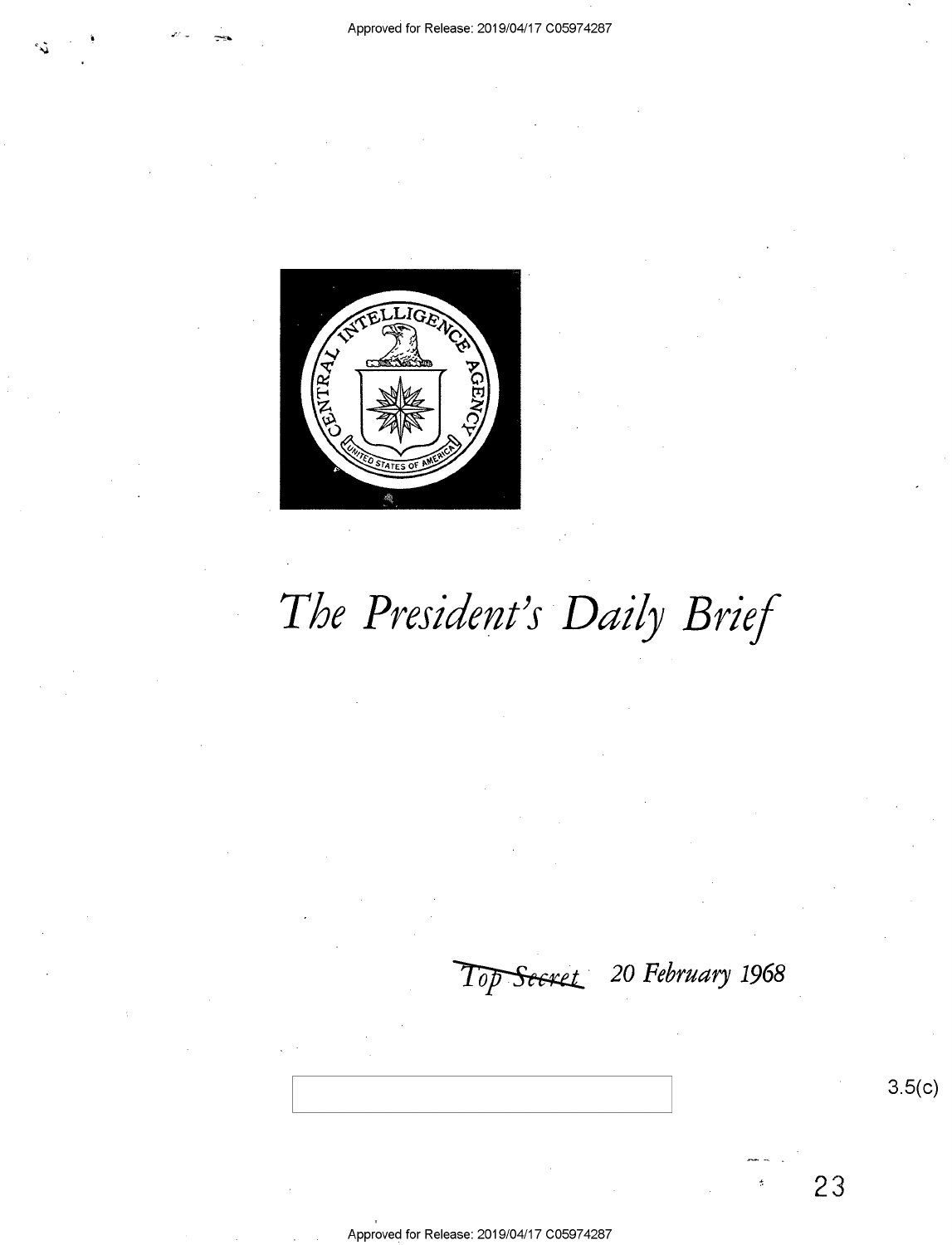

# The President's Daily Brief

#### 20 February 1968 Top Seeret

 $3.5(c)$ 

23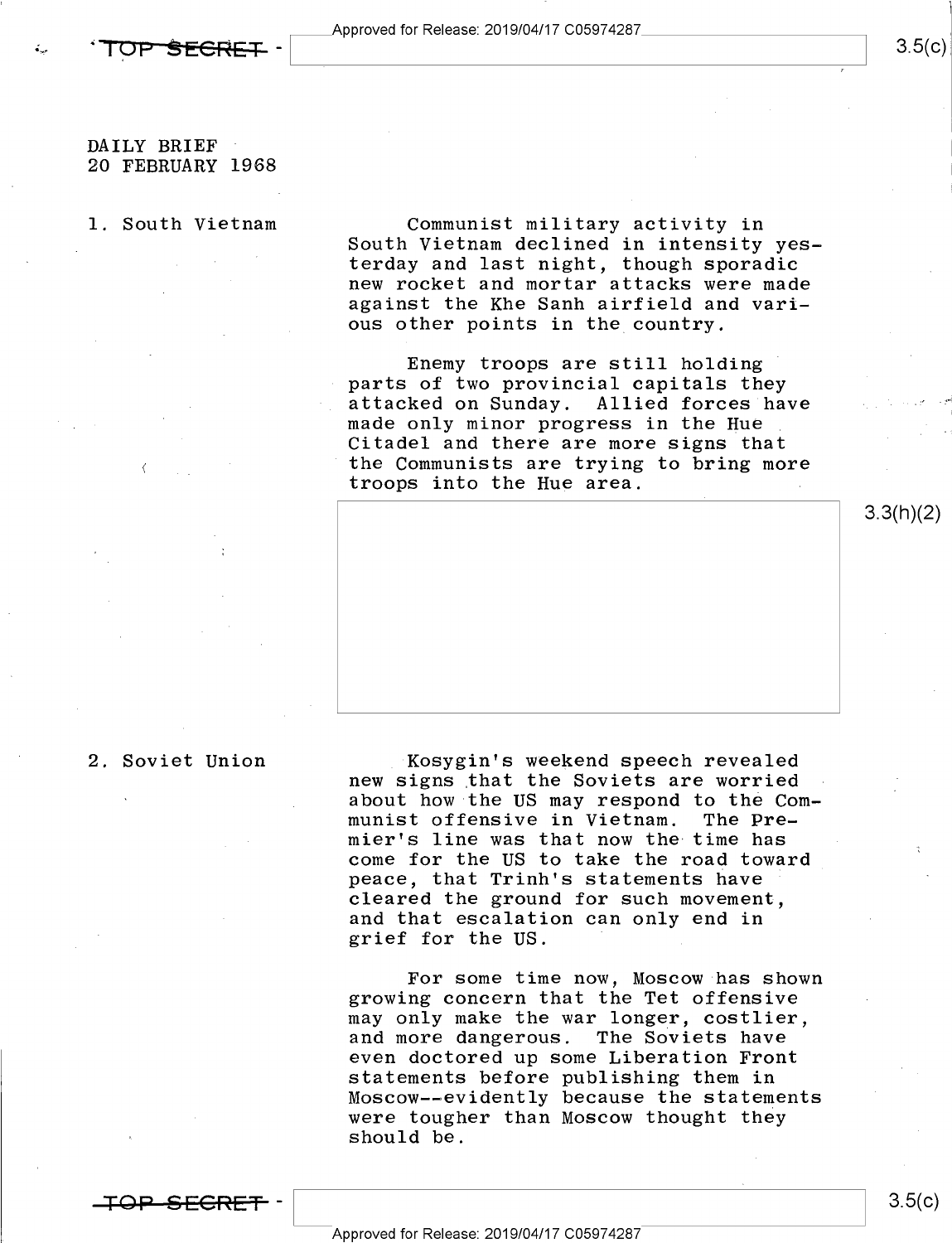## $3.5(c)$

3.3(h)(2)

#### DAILY BRIEF 20 FEBRUARY 1968

#### l. South Vietnam

٠.

Communist military activity in South Vietnam declined in intensity yesterday and last night, though sporadic new rocket and mortar attacks were made against the Khe Sanh airfield and various other points in the country.

Enemy troops are still holding parts of two provincial capitals they<br>attacked on Sunday. Allied forces have<br>made only minor progress in the Hue Citadel and there are more signs that the Communists are trying to bring more troops into the Hue area.



#### 2. Soviet Union

Kosygin's weekend speech revealed new signs that the Soviets are worried about how the US may respond to the Com-<br>munist offensive in Vietnam. The Premier's line was that now the time has come for the US to take the road toward peace, that Trinh's statements have cleared the ground for such movement, and that escalation can only end in grief for the US. <sup>i</sup>

For some time now, Moscow has shown growing concern that the Tet offensive may only make the war longer, costlier, and more dangerous. The Soviets have even doctored up some Liberation Front statements before publishing them in Moscow--evidently because the statements were tougher than Moscow thought they should be.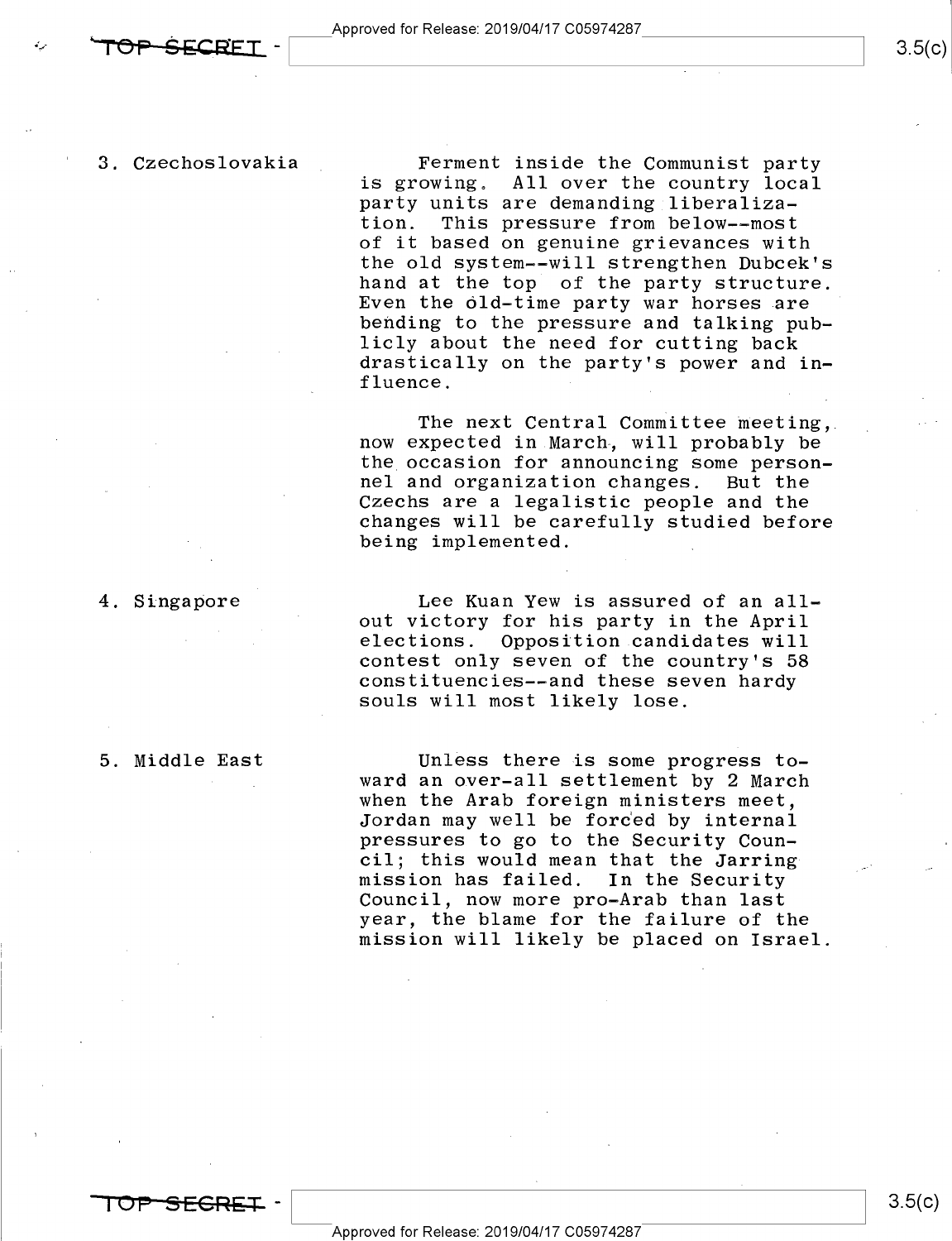3. Czechoslovakia

TOP SECRET.

Ferment inside the Communist party is growing. All over the country local party units are demanding liberaliza-<br>tion. This pressure from below--most This pressure from below--most of it based on genuine grievances with the old system--will strengthen Dubcek's Even the old-time party war horses are bending to the pressure and talking pub-<br>licly about the need for cutting back drastically on the party's power and influence.

The next Central Committee meeting, now expected in March, will probably be the occasion for announcing some personnel and organization changes. But the Czechs are a legalistic people and the changes will be carefully studied before being implemented.

4. Singapore

Lee Kuan Yew is assured of an allout victory for his party in the April elections. Opposition candidates will contest only seven of the country's 58<br>constituencies--and these seven hardy souls will most likely lose.

5. Middle East

Unless there is some progress towhen the Arab foreign ministers meet. Jordan may well be forced by internal pressures to go to the Security Council; this would mean that the Jarring mission has failed. In the Security Council, now more pro-Arab than last<br>year, the blame for the failure of the mission will likely be placed on Israel. 3.5(c).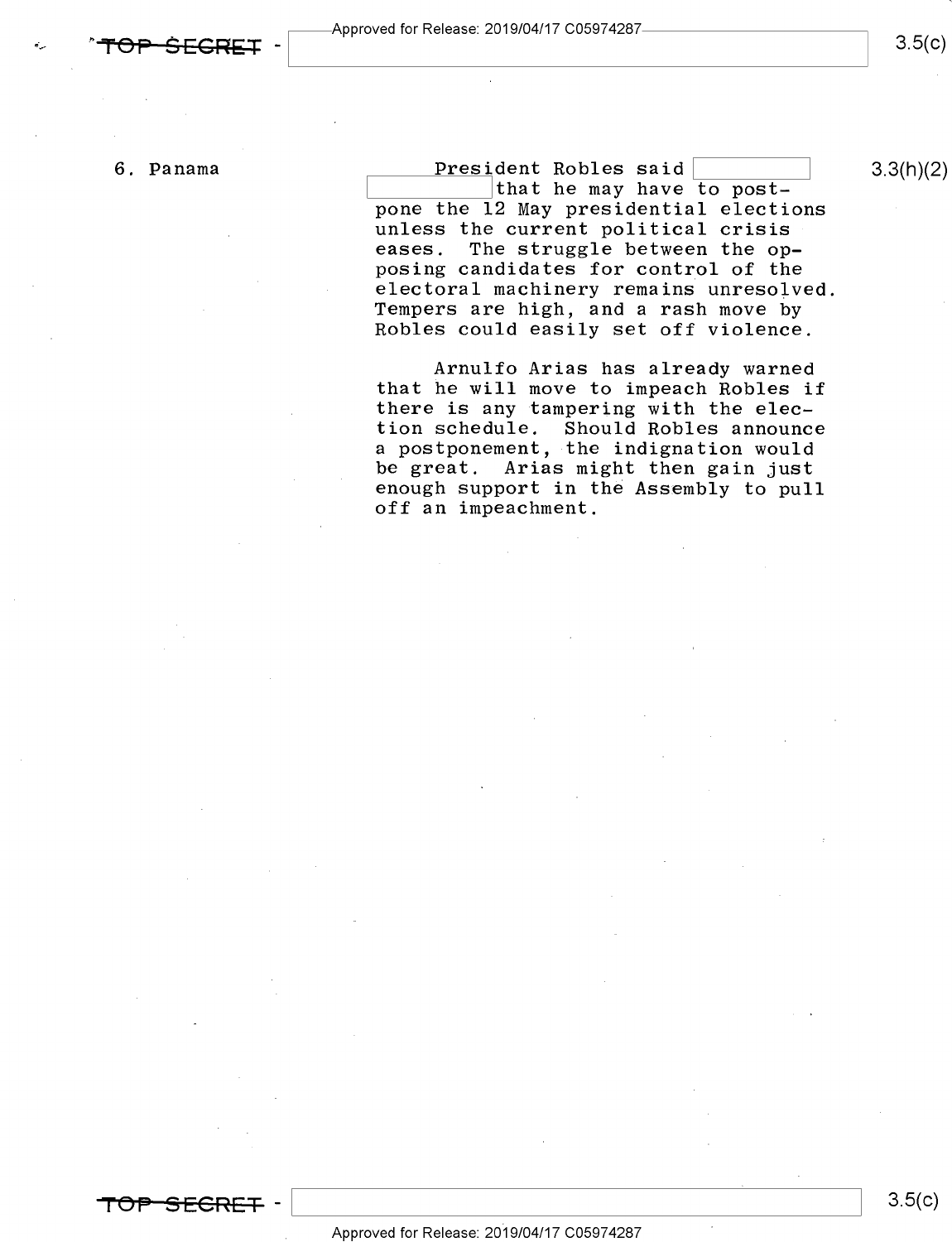$3.5(c)$ 

6. Panama  $\overline{\text{President Robles said}}$  3.3(h)(2) that he may have to postpone the 12 May presidential elections unless the current political crisis<br>eases. The struggle between the op-The struggle between the opposing candidates for control of the<br>electoral machinery remains unresolved. Tempers are high, and a rash move by<br>Robles could easily set off violence.

> Arnulfo Arias has already warned that he will move to impeach Robles if there is any tampering with the election schedule. Should Robles announce a postponement, the indignation would be great. Arias might then gain just enough support in the Assembly to pull off an impeachment.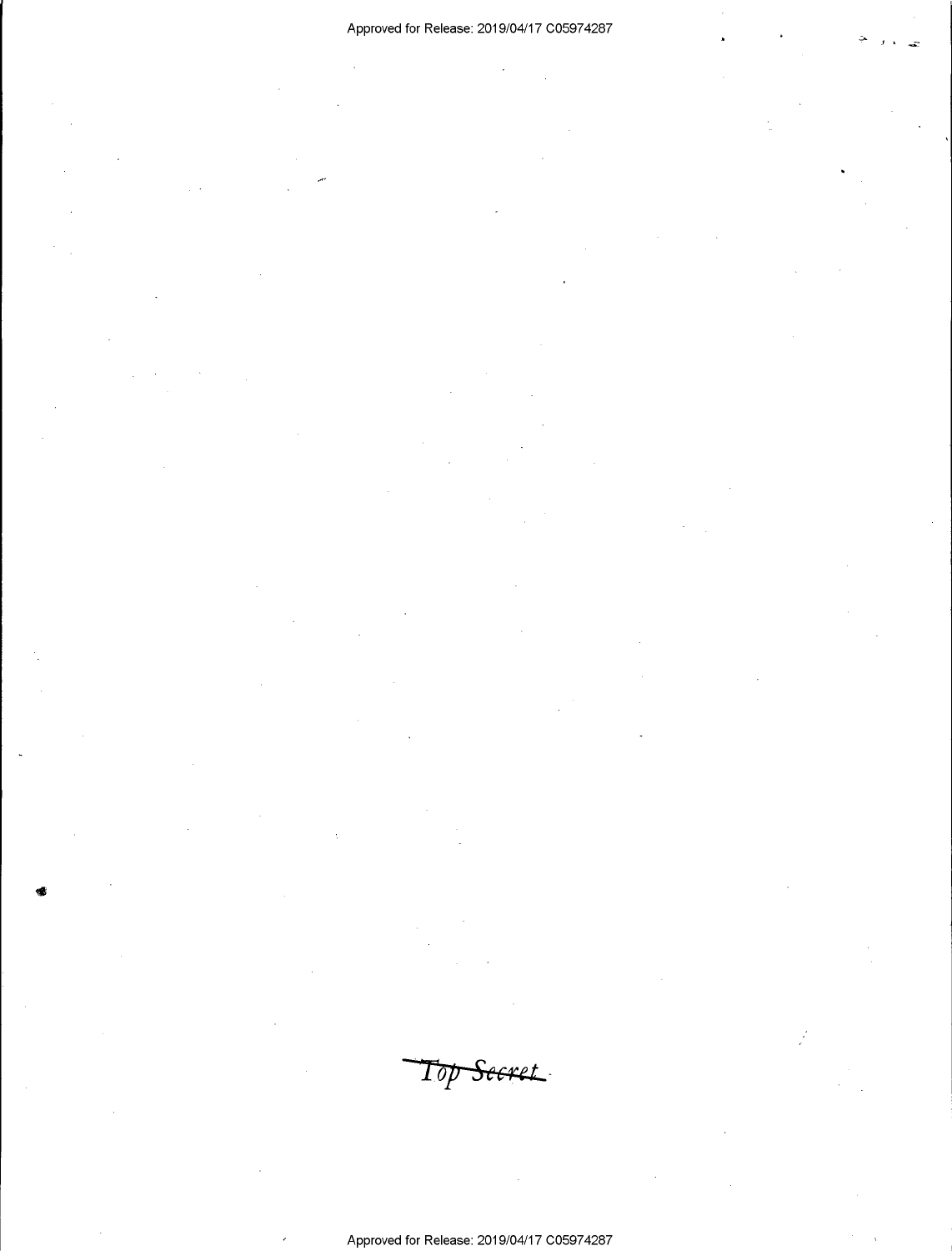### Approved for Release: 2019/04/17 C05974287 \_

-\$

,-

Top Seeret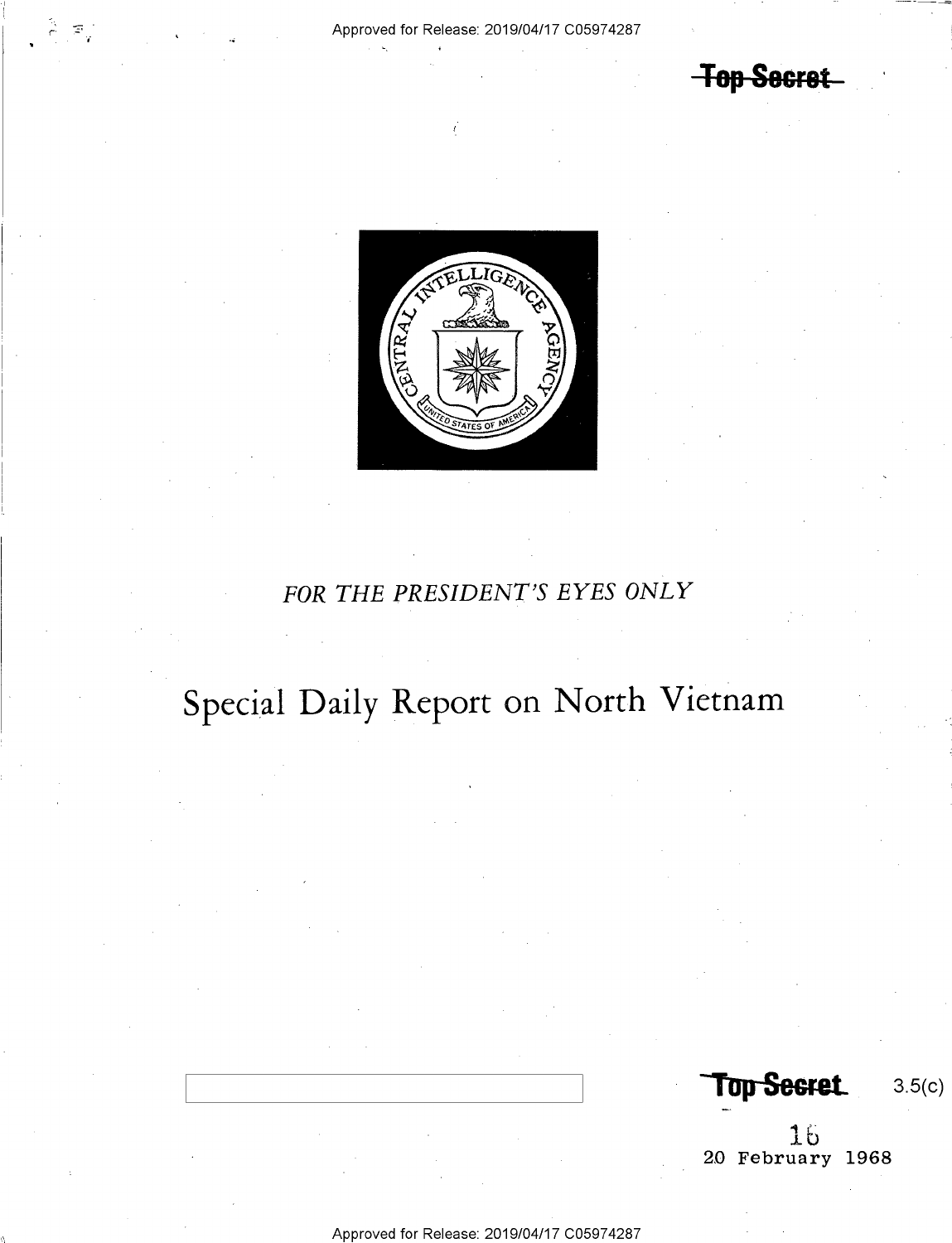#### Approved for Release: 2019/04/17 C05974287

**Top Secret** 



# FOR THE PRESIDENT'S EYES ONLY

# Special Daily Report on North Vietnam

**Top Secret** 

 $3.5(c)$ 

 $\begin{array}{c} 16 \\ 20 \text{ February } 1968 \end{array}$ 

Approved for Release: 2019/04/17 C05974287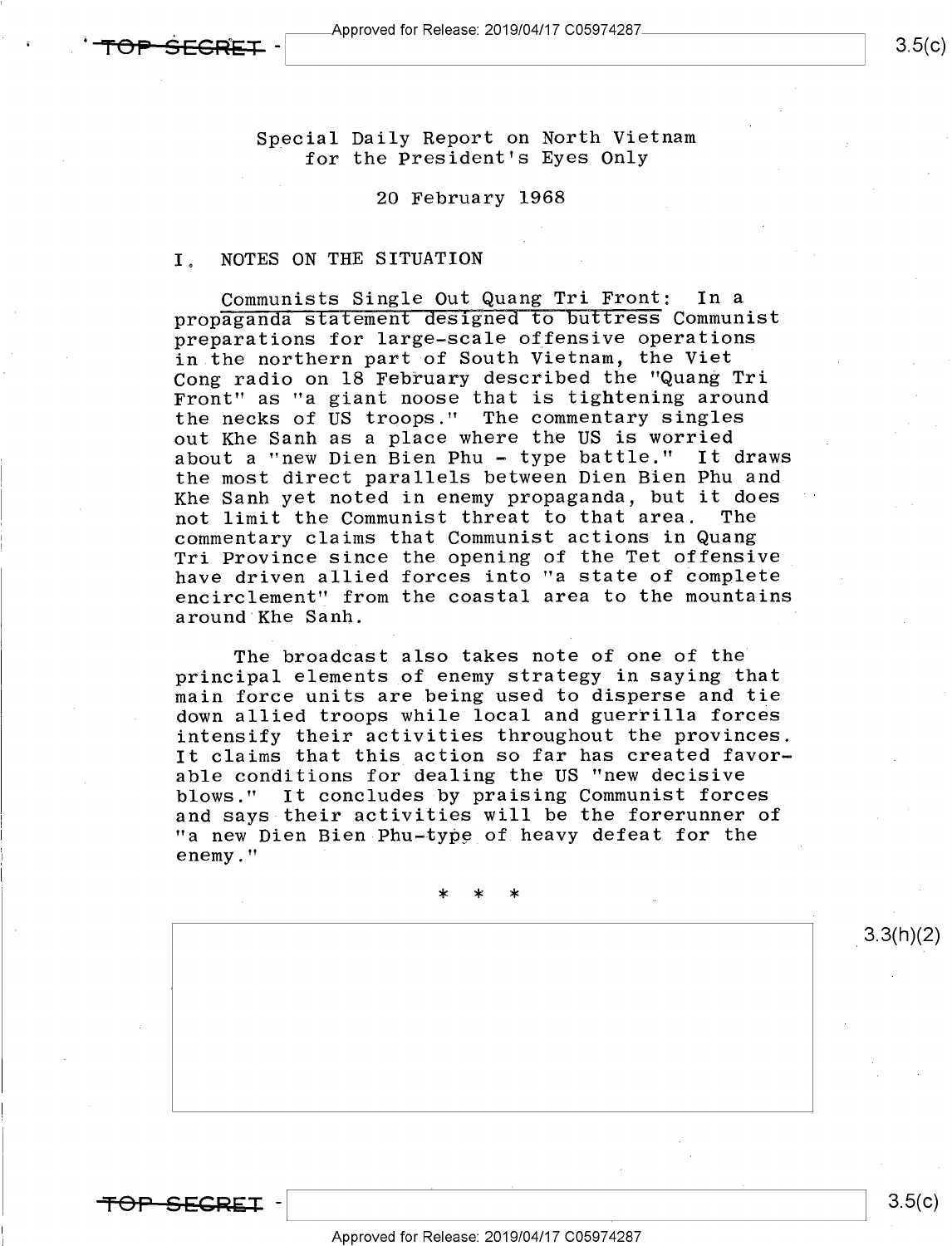SFCREI

 $3.5(c)$ 

Special Daily Report on North Vietnam for the President's Eyes Only

#### 20 February 1968

#### I. NOTES ON THE SITUATION

Communists Single Out Quang Tri Front: In a propaganda statement designed to buttress Communist preparations for large-scale offensive operations in the northern part of South Vietnam, the Viet Cong radio on 18 February described the "Quang Tri Front" as "a giant noose that is tightening around the necks of US troops." The commentary singles out Khe Sanh as a place where the US is worried about a "new Dien Bien Phu - type battle." It draws the most direct parallels between Dien Bien Phu and Khe Sanh yet noted in enemy propaganda, but it doe<mark>s</mark><br>not limit the Communist threat to that area. The not limit the Communist threat to that area. commentary claims that Communist actions in Quang Tri Province since the opening of the Tet offensive have driven allied forces into "a state of complete encirclement" from the coastal area to the mountains around Khe Sanh.

The broadcast also takes note of one of the principal elements of enemy strategy in saying that main force units are being used to disperse and tie down allied troops while local and guerrilla forces intensify their activities throughout the provinces. It claims that this action so far has created favorable conditions for dealing the US "new decisive blows." It concludes by praising Communist forces and says their activities will be the forerunner of "a new Dien Bien Phu-type of heavy defeat for the enemy."

 $\star$  \* \* \*

SECREI

 $3.5(c)$ 

 $3.3(h)(2)$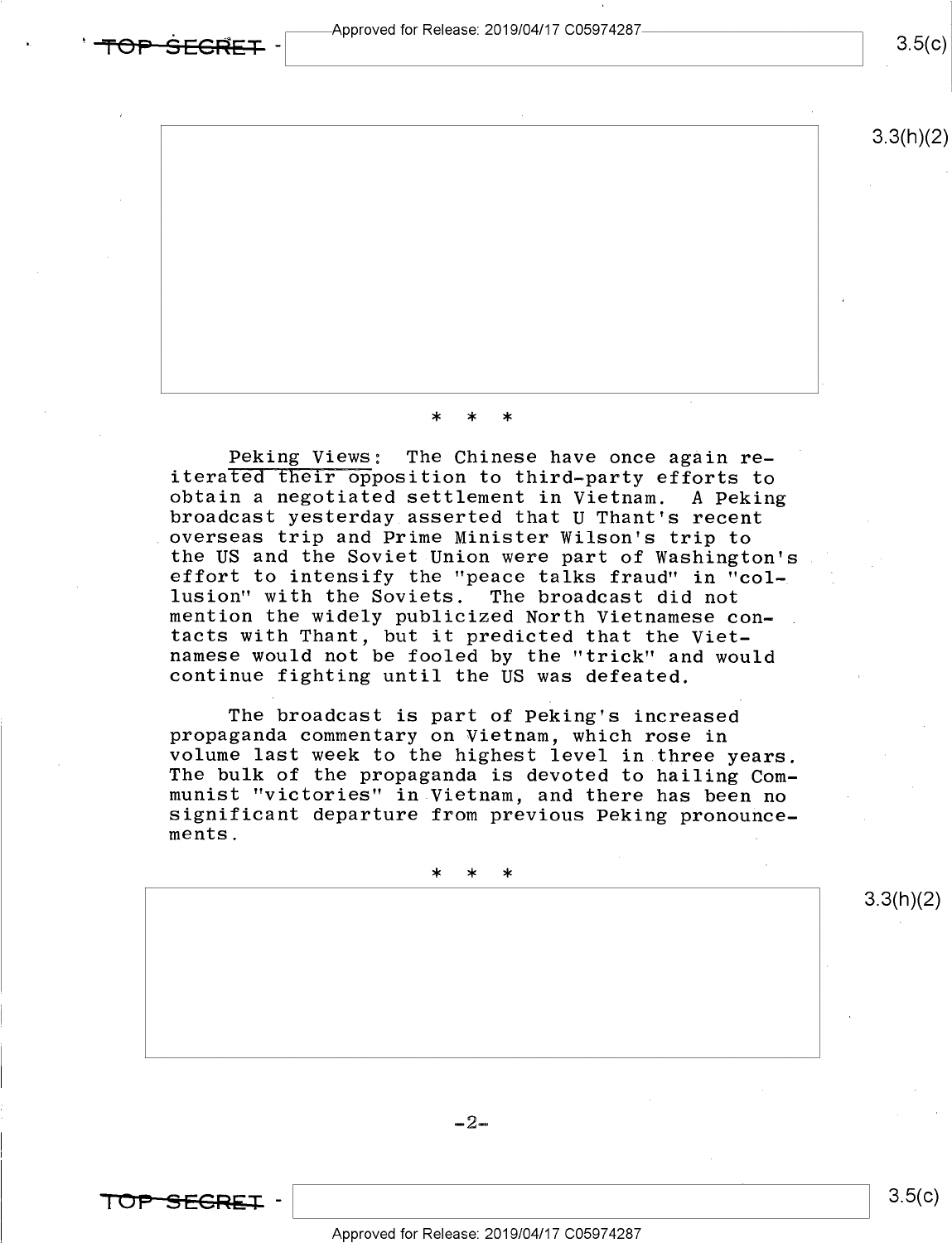Approved for Release: 2019/04/17 C05974287-

### $3.5(c)$



#### \* \* \*

Peking Views: The Chinese have once again re-<br>iterated their opposition to third-party efforts to<br>obtain a negotiated settlement in Vietnam. A Peking<br>broadcast yesterday asserted that U Thant's recent<br>overseas trip and Pri the US and the Soviet Union were part of Washington's effort to intensify the "peace talks fraud" in "col-<br>lusion" with the Soviets. The broadcast did not mention the widely publicized North Vietnamese con-<br>tacts with Thant, but it predicted that the Vietnamese would not be fooled by the "trick" and would continue fighting until the US was defeated.

The broadcast is part of Peking's increased<br>propaganda commentary on Vietnam, which rose in<br>volume last week to the highest level in three years.<br>The bulk of the propaganda is devoted to hailing Com-<br>munist "victories" in

\* \* \*

 $-2-$ 

TOP-SEGREI -

SFCRET

Approved for Release: 2019/O4/17 CO5974287

 $3.5(c)$ 

3.3(h)(2)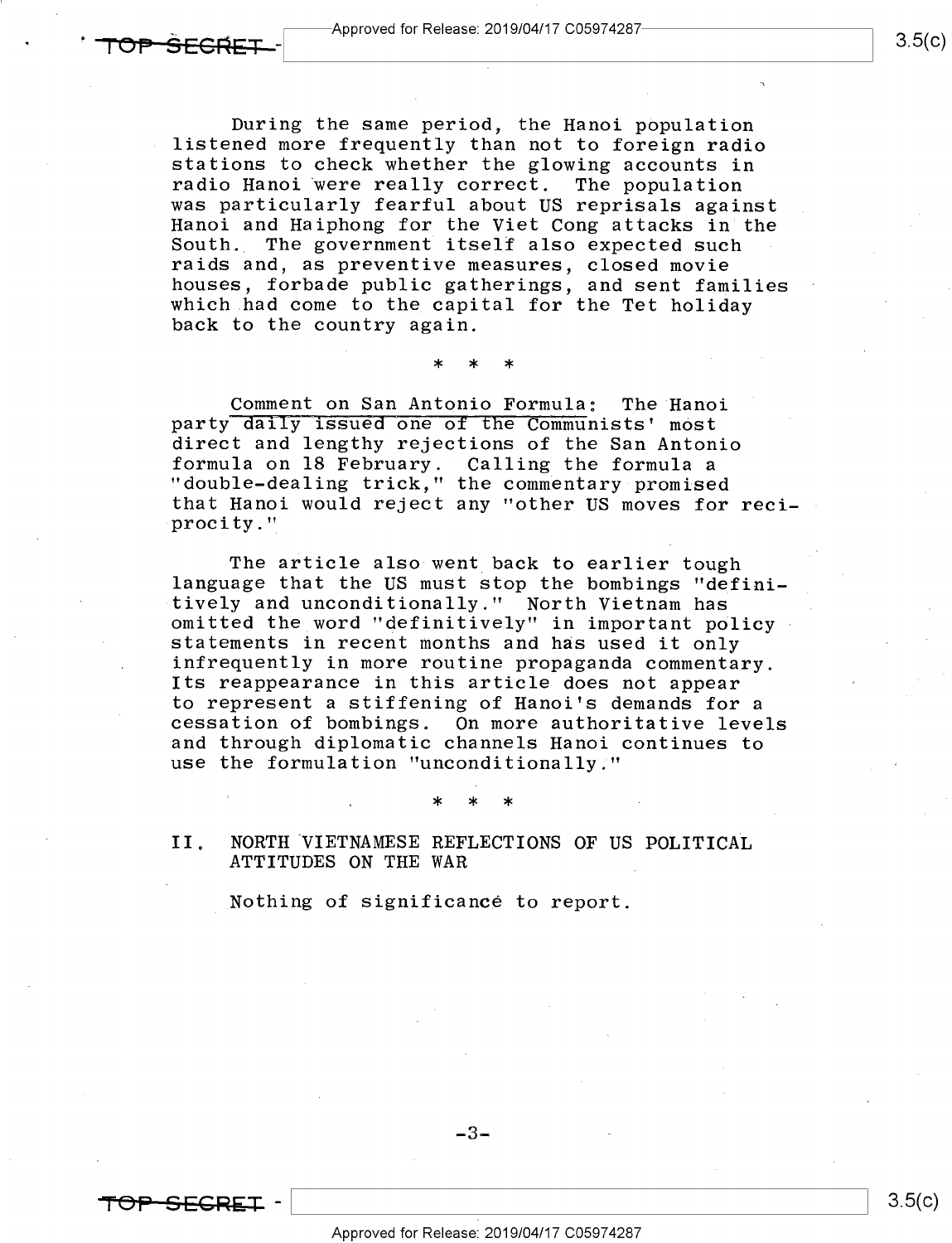During the same period, the Hanoi population listened more frequently than not to foreign radio stations to check whether the glowing accounts in radio Hanoi were really correct. The population<br>was particularly fearful about US reprisals against Hanoi and Haiphong for the Viet Cong attacks in the<br>South. The government itself also expected such The government itself also expected such raids and, as preventive measures, closed movie<br>houses, forbade public gatherings, and sent families which had come to the capital for the Tet holiday<br>back to the country again.

\* \* \*

Comment on San Antonio Formula: The Hanoi<br>party daily issued one of the Communists' most direct and lengthy rejections of the San Antonio<br>formula on 18 February. Calling the formula a "double-dealing trick," the commentary promised that Hanoi would reject any "other US moves for reci procity."

The article also went back to earlier tough<br>language that the US must stop the bombings "defini-<br>tively and unconditionally." North Vietnam has omitted the word "definitively" in important policy<br>statements in recent months and has used it only<br>infrequently in more routine propaganda commentary. Its reappearance in this article does not appear to represent a stiffening of Hanoi's demands for a<br>cessation of bombings. On more authoritative levels and through diplomatic channels Hanoi continues to use the formulation "unconditionally."

 $\star$  \* \* \*  $\star$ 

II. NORTH VIETNAMESE REFLECTIONS OF US POLITICAL ATTITUDES ON THE WAR

.Nothing of significancé to report.

 $-3-$ 

w